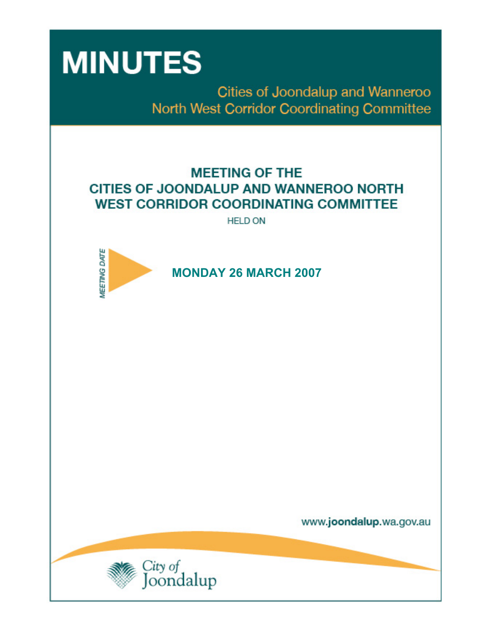

Cities of Joondalup and Wanneroo North West Corridor Coordinating Committee

# **MEETING OF THE CITIES OF JOONDALUP AND WANNEROO NORTH WEST CORRIDOR COORDINATING COMMITTEE**

**HELD ON** 



www.joondalup.wa.gov.au

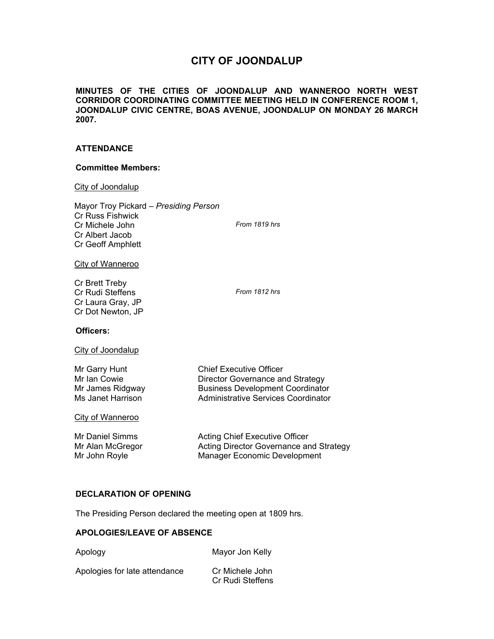# **CITY OF JOONDALUP**

**MINUTES OF THE CITIES OF JOONDALUP AND WANNEROO NORTH WEST CORRIDOR COORDINATING COMMITTEE MEETING HELD IN CONFERENCE ROOM 1, JOONDALUP CIVIC CENTRE, BOAS AVENUE, JOONDALUP ON MONDAY 26 MARCH 2007.** 

# **ATTENDANCE**

#### **Committee Members:**

# City of Joondalup

| Mayor Troy Pickard - Presiding Person |               |
|---------------------------------------|---------------|
| <b>Cr Russ Fishwick</b>               |               |
| Cr Michele John                       | From 1819 hrs |
| Cr Albert Jacob                       |               |
| <b>Cr Geoff Amphlett</b>              |               |
|                                       |               |

City of Wanneroo

Cr Brett Treby Cr Rudi Steffens *From 1812 hrs*  Cr Laura Gray, JP Cr Dot Newton, JP

**Chief Executive Officer** 

Director Governance and Strategy **Business Development Coordinator** Administrative Services Coordinator

# **Officers:**

City of Joondalup

| Mr Garry Hunt     |
|-------------------|
| Mr Ian Cowie      |
| Mr James Ridgway  |
| Ms Janet Harrison |

City of Wanneroo

| Mr Daniel Simms  | Acting Chief Executive Officer          |
|------------------|-----------------------------------------|
| Mr Alan McGregor | Acting Director Governance and Strategy |
| Mr John Royle    | Manager Economic Development            |

# **DECLARATION OF OPENING**

The Presiding Person declared the meeting open at 1809 hrs.

# **APOLOGIES/LEAVE OF ABSENCE**

Apology Mayor Jon Kelly

| Apologies for late attendance | Cr Michele John  |
|-------------------------------|------------------|
|                               | Cr Rudi Steffens |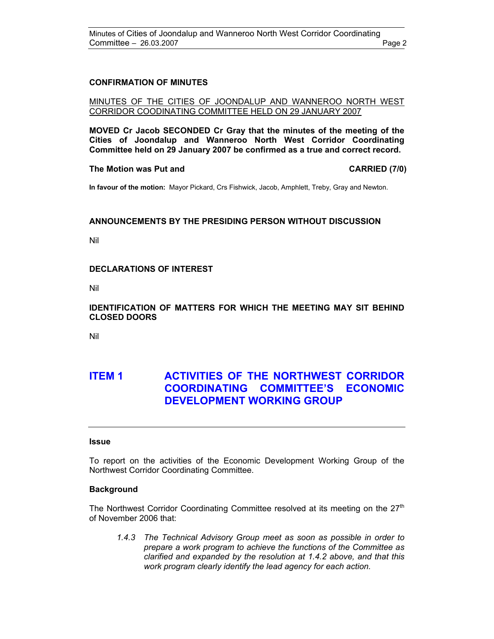# **CONFIRMATION OF MINUTES**

### MINUTES OF THE CITIES OF JOONDALUP AND WANNEROO NORTH WEST CORRIDOR COODINATING COMMITTEE HELD ON 29 JANUARY 2007

**MOVED Cr Jacob SECONDED Cr Gray that the minutes of the meeting of the Cities of Joondalup and Wanneroo North West Corridor Coordinating Committee held on 29 January 2007 be confirmed as a true and correct record.** 

#### **The Motion was Put and CARRIED (7/0) CARRIED (7/0)**

**In favour of the motion:** Mayor Pickard, Crs Fishwick, Jacob, Amphlett, Treby, Gray and Newton.

# **ANNOUNCEMENTS BY THE PRESIDING PERSON WITHOUT DISCUSSION**

Nil

# **DECLARATIONS OF INTEREST**

Nil

# **IDENTIFICATION OF MATTERS FOR WHICH THE MEETING MAY SIT BEHIND CLOSED DOORS**

Nil

# **ITEM 1 ACTIVITIES OF THE NORTHWEST CORRIDOR COORDINATING COMMITTEE'S ECONOMIC DEVELOPMENT WORKING GROUP**

#### **Issue**

To report on the activities of the Economic Development Working Group of the Northwest Corridor Coordinating Committee.

#### **Background**

The Northwest Corridor Coordinating Committee resolved at its meeting on the  $27<sup>th</sup>$ of November 2006 that:

*1.4.3 The Technical Advisory Group meet as soon as possible in order to prepare a work program to achieve the functions of the Committee as clarified and expanded by the resolution at 1.4.2 above, and that this work program clearly identify the lead agency for each action.*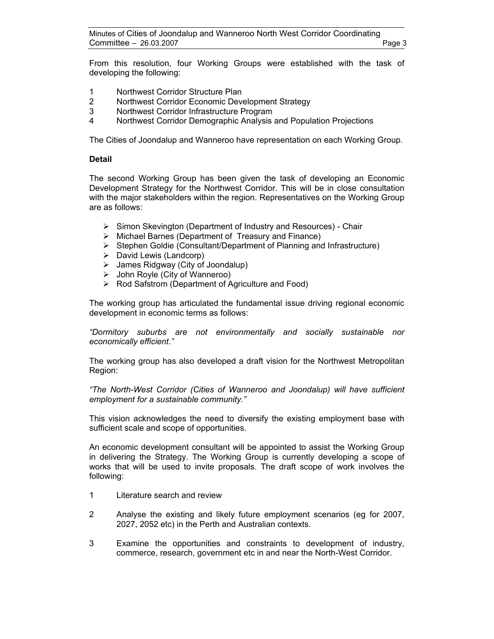From this resolution, four Working Groups were established with the task of developing the following:

- 1 Northwest Corridor Structure Plan
- 2 Northwest Corridor Economic Development Strategy
- 3 Northwest Corridor Infrastructure Program
- 4 Northwest Corridor Demographic Analysis and Population Projections

The Cities of Joondalup and Wanneroo have representation on each Working Group.

# **Detail**

The second Working Group has been given the task of developing an Economic Development Strategy for the Northwest Corridor. This will be in close consultation with the major stakeholders within the region. Representatives on the Working Group are as follows:

- ¾ Simon Skevington (Department of Industry and Resources) Chair
- $\triangleright$  Michael Barnes (Department of Treasury and Finance)
- ¾ Stephen Goldie (Consultant/Department of Planning and Infrastructure)
- $\triangleright$  David Lewis (Landcorp)
- $\triangleright$  James Ridgway (City of Joondalup)
- $\triangleright$  John Royle (City of Wanneroo)
- ¾ Rod Safstrom (Department of Agriculture and Food)

The working group has articulated the fundamental issue driving regional economic development in economic terms as follows:

*"Dormitory suburbs are not environmentally and socially sustainable nor economically efficient."* 

The working group has also developed a draft vision for the Northwest Metropolitan Region:

*"The North-West Corridor (Cities of Wanneroo and Joondalup) will have sufficient employment for a sustainable community."* 

This vision acknowledges the need to diversify the existing employment base with sufficient scale and scope of opportunities.

An economic development consultant will be appointed to assist the Working Group in delivering the Strategy. The Working Group is currently developing a scope of works that will be used to invite proposals. The draft scope of work involves the following:

- 1 Literature search and review
- 2 Analyse the existing and likely future employment scenarios (eg for 2007, 2027, 2052 etc) in the Perth and Australian contexts.
- 3 Examine the opportunities and constraints to development of industry, commerce, research, government etc in and near the North-West Corridor.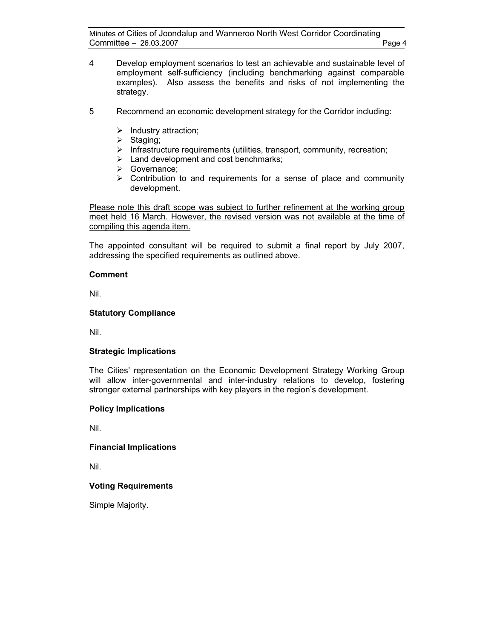- 4 Develop employment scenarios to test an achievable and sustainable level of employment self-sufficiency (including benchmarking against comparable examples). Also assess the benefits and risks of not implementing the strategy.
- 5 Recommend an economic development strategy for the Corridor including:
	- $\blacktriangleright$  Industry attraction;
	- $\triangleright$  Staging;
	- $\triangleright$  Infrastructure requirements (utilities, transport, community, recreation;
	- $\blacktriangleright$  Land development and cost benchmarks;
	- ¾ Governance;
	- $\triangleright$  Contribution to and requirements for a sense of place and community development.

Please note this draft scope was subject to further refinement at the working group meet held 16 March. However, the revised version was not available at the time of compiling this agenda item.

The appointed consultant will be required to submit a final report by July 2007, addressing the specified requirements as outlined above.

# **Comment**

Nil.

# **Statutory Compliance**

Nil.

# **Strategic Implications**

The Cities' representation on the Economic Development Strategy Working Group will allow inter-governmental and inter-industry relations to develop, fostering stronger external partnerships with key players in the region's development.

# **Policy Implications**

Nil.

# **Financial Implications**

Nil.

# **Voting Requirements**

Simple Majority.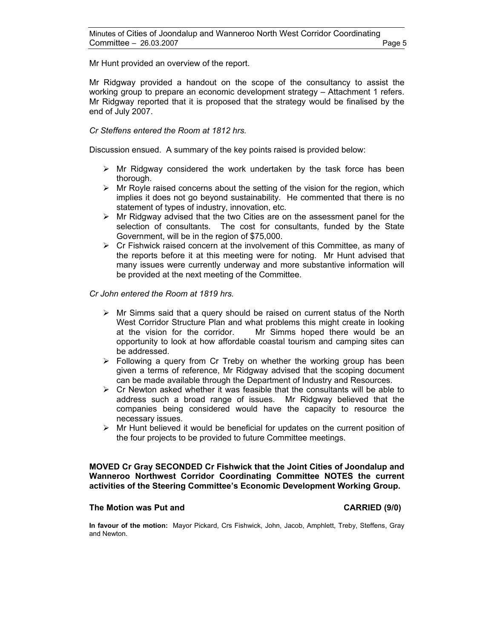Mr Hunt provided an overview of the report.

Mr Ridgway provided a handout on the scope of the consultancy to assist the working group to prepare an economic development strategy – Attachment 1 refers. Mr Ridgway reported that it is proposed that the strategy would be finalised by the end of July 2007.

# *Cr Steffens entered the Room at 1812 hrs.*

Discussion ensued. A summary of the key points raised is provided below:

- $\triangleright$  Mr Ridgway considered the work undertaken by the task force has been thorough.
- $\triangleright$  Mr Royle raised concerns about the setting of the vision for the region, which implies it does not go beyond sustainability. He commented that there is no statement of types of industry, innovation, etc.
- $\triangleright$  Mr Ridgway advised that the two Cities are on the assessment panel for the selection of consultants. The cost for consultants, funded by the State Government, will be in the region of \$75,000.
- $\triangleright$  Cr Fishwick raised concern at the involvement of this Committee, as many of the reports before it at this meeting were for noting. Mr Hunt advised that many issues were currently underway and more substantive information will be provided at the next meeting of the Committee.

*Cr John entered the Room at 1819 hrs.* 

- $\triangleright$  Mr Simms said that a query should be raised on current status of the North West Corridor Structure Plan and what problems this might create in looking at the vision for the corridor. Mr Simms hoped there would be an opportunity to look at how affordable coastal tourism and camping sites can be addressed.
- $\triangleright$  Following a query from Cr Treby on whether the working group has been given a terms of reference, Mr Ridgway advised that the scoping document can be made available through the Department of Industry and Resources.
- $\triangleright$  Cr Newton asked whether it was feasible that the consultants will be able to address such a broad range of issues. Mr Ridgway believed that the companies being considered would have the capacity to resource the necessary issues.
- $\triangleright$  Mr Hunt believed it would be beneficial for updates on the current position of the four projects to be provided to future Committee meetings.

**MOVED Cr Gray SECONDED Cr Fishwick that the Joint Cities of Joondalup and Wanneroo Northwest Corridor Coordinating Committee NOTES the current activities of the Steering Committee's Economic Development Working Group.** 

#### **The Motion was Put and CARRIED (9/0) CARRIED (9/0)**

**In favour of the motion:** Mayor Pickard, Crs Fishwick, John, Jacob, Amphlett, Treby, Steffens, Gray and Newton.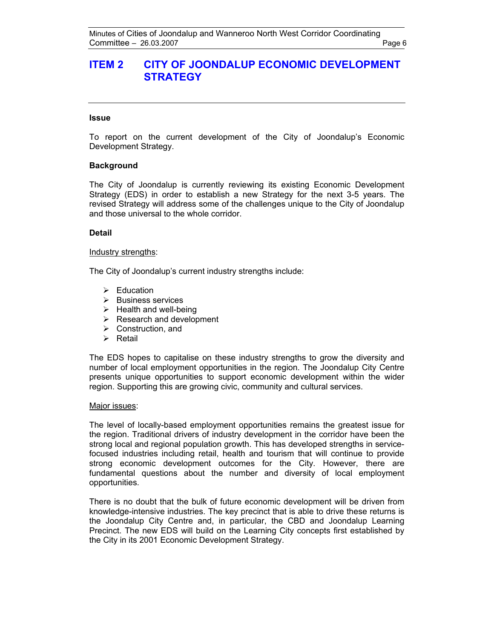# **ITEM 2 CITY OF JOONDALUP ECONOMIC DEVELOPMENT STRATEGY**

### **Issue**

To report on the current development of the City of Joondalup's Economic Development Strategy.

### **Background**

The City of Joondalup is currently reviewing its existing Economic Development Strategy (EDS) in order to establish a new Strategy for the next 3-5 years. The revised Strategy will address some of the challenges unique to the City of Joondalup and those universal to the whole corridor.

### **Detail**

#### Industry strengths:

The City of Joondalup's current industry strengths include:

- $\triangleright$  Education
- $\triangleright$  Business services
- $\triangleright$  Health and well-being
- $\triangleright$  Research and development
- $\triangleright$  Construction, and
- $\triangleright$  Retail

The EDS hopes to capitalise on these industry strengths to grow the diversity and number of local employment opportunities in the region. The Joondalup City Centre presents unique opportunities to support economic development within the wider region. Supporting this are growing civic, community and cultural services.

#### Major issues:

The level of locally-based employment opportunities remains the greatest issue for the region. Traditional drivers of industry development in the corridor have been the strong local and regional population growth. This has developed strengths in servicefocused industries including retail, health and tourism that will continue to provide strong economic development outcomes for the City. However, there are fundamental questions about the number and diversity of local employment opportunities.

There is no doubt that the bulk of future economic development will be driven from knowledge-intensive industries. The key precinct that is able to drive these returns is the Joondalup City Centre and, in particular, the CBD and Joondalup Learning Precinct. The new EDS will build on the Learning City concepts first established by the City in its 2001 Economic Development Strategy.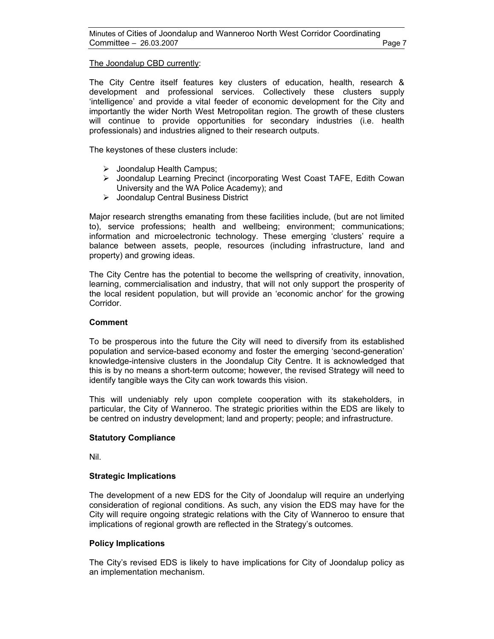# The Joondalup CBD currently:

The City Centre itself features key clusters of education, health, research & development and professional services. Collectively these clusters supply 'intelligence' and provide a vital feeder of economic development for the City and importantly the wider North West Metropolitan region. The growth of these clusters will continue to provide opportunities for secondary industries (i.e. health professionals) and industries aligned to their research outputs.

The keystones of these clusters include:

- $\triangleright$  Joondalup Health Campus;
- ¾ Joondalup Learning Precinct (incorporating West Coast TAFE, Edith Cowan University and the WA Police Academy); and
- ¾ Joondalup Central Business District

Major research strengths emanating from these facilities include, (but are not limited to), service professions; health and wellbeing; environment; communications; information and microelectronic technology. These emerging 'clusters' require a balance between assets, people, resources (including infrastructure, land and property) and growing ideas.

The City Centre has the potential to become the wellspring of creativity, innovation, learning, commercialisation and industry, that will not only support the prosperity of the local resident population, but will provide an 'economic anchor' for the growing Corridor.

# **Comment**

To be prosperous into the future the City will need to diversify from its established population and service-based economy and foster the emerging 'second-generation' knowledge-intensive clusters in the Joondalup City Centre. It is acknowledged that this is by no means a short-term outcome; however, the revised Strategy will need to identify tangible ways the City can work towards this vision.

This will undeniably rely upon complete cooperation with its stakeholders, in particular, the City of Wanneroo. The strategic priorities within the EDS are likely to be centred on industry development; land and property; people; and infrastructure.

# **Statutory Compliance**

Nil.

# **Strategic Implications**

The development of a new EDS for the City of Joondalup will require an underlying consideration of regional conditions. As such, any vision the EDS may have for the City will require ongoing strategic relations with the City of Wanneroo to ensure that implications of regional growth are reflected in the Strategy's outcomes.

# **Policy Implications**

The City's revised EDS is likely to have implications for City of Joondalup policy as an implementation mechanism.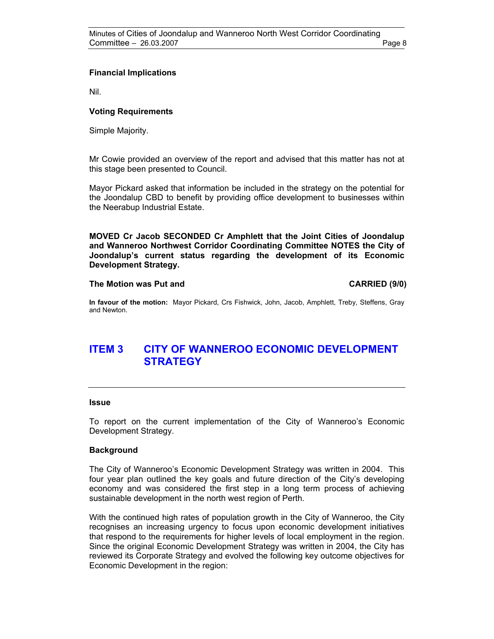# **Financial Implications**

Nil.

# **Voting Requirements**

Simple Majority.

Mr Cowie provided an overview of the report and advised that this matter has not at this stage been presented to Council.

Mayor Pickard asked that information be included in the strategy on the potential for the Joondalup CBD to benefit by providing office development to businesses within the Neerabup Industrial Estate.

**MOVED Cr Jacob SECONDED Cr Amphlett that the Joint Cities of Joondalup and Wanneroo Northwest Corridor Coordinating Committee NOTES the City of Joondalup's current status regarding the development of its Economic Development Strategy.** 

### **The Motion was Put and CARRIED (9/0)**

**In favour of the motion:** Mayor Pickard, Crs Fishwick, John, Jacob, Amphlett, Treby, Steffens, Gray and Newton.

# **ITEM 3 CITY OF WANNEROO ECONOMIC DEVELOPMENT STRATEGY**

#### **Issue**

To report on the current implementation of the City of Wanneroo's Economic Development Strategy.

# **Background**

The City of Wanneroo's Economic Development Strategy was written in 2004. This four year plan outlined the key goals and future direction of the City's developing economy and was considered the first step in a long term process of achieving sustainable development in the north west region of Perth.

With the continued high rates of population growth in the City of Wanneroo, the City recognises an increasing urgency to focus upon economic development initiatives that respond to the requirements for higher levels of local employment in the region. Since the original Economic Development Strategy was written in 2004, the City has reviewed its Corporate Strategy and evolved the following key outcome objectives for Economic Development in the region: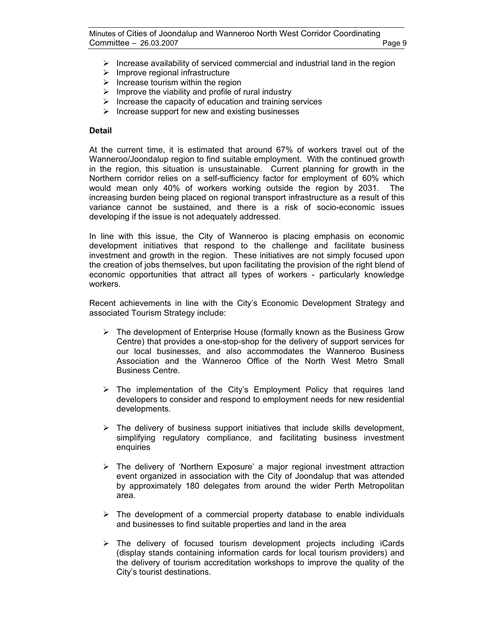- $\triangleright$  Increase availability of serviced commercial and industrial land in the region
- $\triangleright$  Improve regional infrastructure
- $\triangleright$  Increase tourism within the region
- $\triangleright$  Improve the viability and profile of rural industry
- $\triangleright$  Increase the capacity of education and training services
- $\triangleright$  Increase support for new and existing businesses

## **Detail**

At the current time, it is estimated that around 67% of workers travel out of the Wanneroo/Joondalup region to find suitable employment. With the continued growth in the region, this situation is unsustainable. Current planning for growth in the Northern corridor relies on a self-sufficiency factor for employment of 60% which would mean only 40% of workers working outside the region by 2031. The increasing burden being placed on regional transport infrastructure as a result of this variance cannot be sustained, and there is a risk of socio-economic issues developing if the issue is not adequately addressed.

In line with this issue, the City of Wanneroo is placing emphasis on economic development initiatives that respond to the challenge and facilitate business investment and growth in the region. These initiatives are not simply focused upon the creation of jobs themselves, but upon facilitating the provision of the right blend of economic opportunities that attract all types of workers - particularly knowledge workers.

Recent achievements in line with the City's Economic Development Strategy and associated Tourism Strategy include:

- $\triangleright$  The development of Enterprise House (formally known as the Business Grow Centre) that provides a one-stop-shop for the delivery of support services for our local businesses, and also accommodates the Wanneroo Business Association and the Wanneroo Office of the North West Metro Small Business Centre.
- $\triangleright$  The implementation of the City's Employment Policy that requires land developers to consider and respond to employment needs for new residential developments.
- $\triangleright$  The delivery of business support initiatives that include skills development, simplifying regulatory compliance, and facilitating business investment enquiries
- $\triangleright$  The delivery of 'Northern Exposure' a major regional investment attraction event organized in association with the City of Joondalup that was attended by approximately 180 delegates from around the wider Perth Metropolitan area.
- $\triangleright$  The development of a commercial property database to enable individuals and businesses to find suitable properties and land in the area
- $\triangleright$  The delivery of focused tourism development projects including iCards (display stands containing information cards for local tourism providers) and the delivery of tourism accreditation workshops to improve the quality of the City's tourist destinations.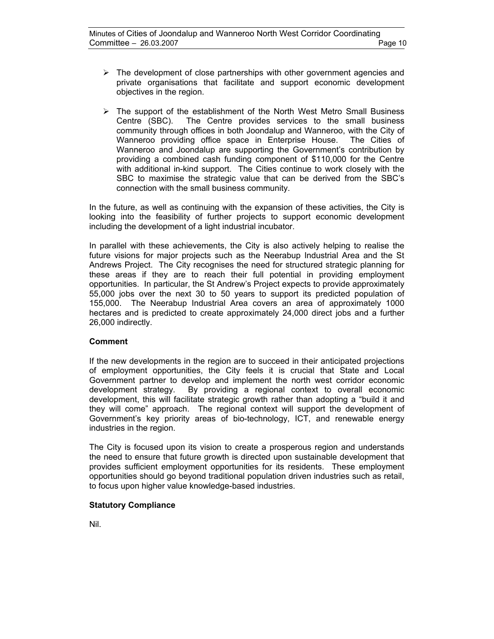- $\triangleright$  The development of close partnerships with other government agencies and private organisations that facilitate and support economic development objectives in the region.
- $\triangleright$  The support of the establishment of the North West Metro Small Business Centre (SBC). The Centre provides services to the small business community through offices in both Joondalup and Wanneroo, with the City of Wanneroo providing office space in Enterprise House. The Cities of Wanneroo and Joondalup are supporting the Government's contribution by providing a combined cash funding component of \$110,000 for the Centre with additional in-kind support. The Cities continue to work closely with the SBC to maximise the strategic value that can be derived from the SBC's connection with the small business community.

In the future, as well as continuing with the expansion of these activities, the City is looking into the feasibility of further projects to support economic development including the development of a light industrial incubator.

In parallel with these achievements, the City is also actively helping to realise the future visions for major projects such as the Neerabup Industrial Area and the St Andrews Project. The City recognises the need for structured strategic planning for these areas if they are to reach their full potential in providing employment opportunities. In particular, the St Andrew's Project expects to provide approximately 55,000 jobs over the next 30 to 50 years to support its predicted population of 155,000. The Neerabup Industrial Area covers an area of approximately 1000 hectares and is predicted to create approximately 24,000 direct jobs and a further 26,000 indirectly.

# **Comment**

If the new developments in the region are to succeed in their anticipated projections of employment opportunities, the City feels it is crucial that State and Local Government partner to develop and implement the north west corridor economic development strategy. By providing a regional context to overall economic development, this will facilitate strategic growth rather than adopting a "build it and they will come" approach. The regional context will support the development of Government's key priority areas of bio-technology, ICT, and renewable energy industries in the region.

The City is focused upon its vision to create a prosperous region and understands the need to ensure that future growth is directed upon sustainable development that provides sufficient employment opportunities for its residents. These employment opportunities should go beyond traditional population driven industries such as retail, to focus upon higher value knowledge-based industries.

# **Statutory Compliance**

Nil.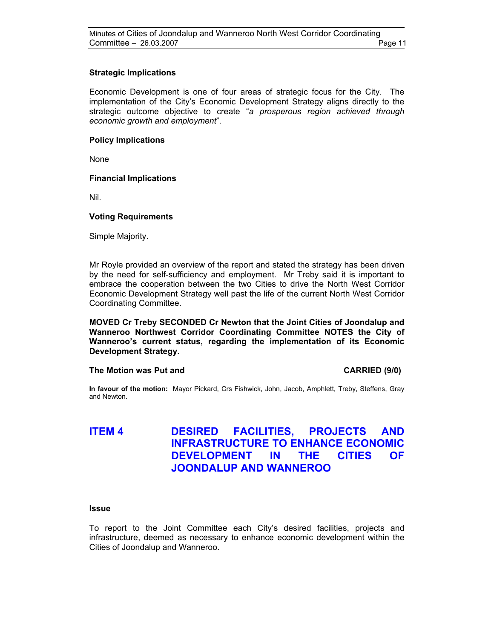# **Strategic Implications**

Economic Development is one of four areas of strategic focus for the City. The implementation of the City's Economic Development Strategy aligns directly to the strategic outcome objective to create "*a prosperous region achieved through economic growth and employment*".

# **Policy Implications**

None

# **Financial Implications**

Nil.

# **Voting Requirements**

Simple Majority.

Mr Royle provided an overview of the report and stated the strategy has been driven by the need for self-sufficiency and employment. Mr Treby said it is important to embrace the cooperation between the two Cities to drive the North West Corridor Economic Development Strategy well past the life of the current North West Corridor Coordinating Committee.

**MOVED Cr Treby SECONDED Cr Newton that the Joint Cities of Joondalup and Wanneroo Northwest Corridor Coordinating Committee NOTES the City of Wanneroo's current status, regarding the implementation of its Economic Development Strategy.** 

# **The Motion was Put and CARRIED (9/0) CARRIED (9/0)**

**In favour of the motion:** Mayor Pickard, Crs Fishwick, John, Jacob, Amphlett, Treby, Steffens, Gray and Newton.

# **ITEM 4 DESIRED FACILITIES, PROJECTS AND INFRASTRUCTURE TO ENHANCE ECONOMIC DEVELOPMENT IN THE CITIES OF JOONDALUP AND WANNEROO**

# **Issue**

To report to the Joint Committee each City's desired facilities, projects and infrastructure, deemed as necessary to enhance economic development within the Cities of Joondalup and Wanneroo.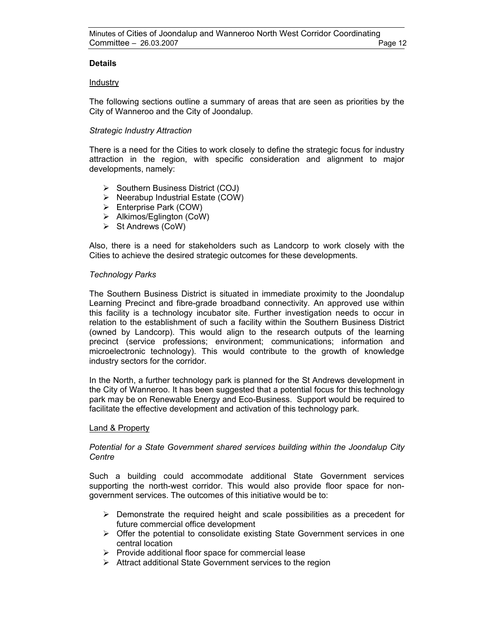# **Details**

# Industry

The following sections outline a summary of areas that are seen as priorities by the City of Wanneroo and the City of Joondalup.

# *Strategic Industry Attraction*

There is a need for the Cities to work closely to define the strategic focus for industry attraction in the region, with specific consideration and alignment to major developments, namely:

- $\triangleright$  Southern Business District (COJ)
- $\triangleright$  Neerabup Industrial Estate (COW)
- $\triangleright$  Enterprise Park (COW)
- $\triangleright$  Alkimos/Eglington (CoW)
- $\triangleright$  St Andrews (CoW)

Also, there is a need for stakeholders such as Landcorp to work closely with the Cities to achieve the desired strategic outcomes for these developments.

# *Technology Parks*

The Southern Business District is situated in immediate proximity to the Joondalup Learning Precinct and fibre-grade broadband connectivity. An approved use within this facility is a technology incubator site. Further investigation needs to occur in relation to the establishment of such a facility within the Southern Business District (owned by Landcorp). This would align to the research outputs of the learning precinct (service professions; environment; communications; information and microelectronic technology). This would contribute to the growth of knowledge industry sectors for the corridor.

In the North, a further technology park is planned for the St Andrews development in the City of Wanneroo. It has been suggested that a potential focus for this technology park may be on Renewable Energy and Eco-Business. Support would be required to facilitate the effective development and activation of this technology park.

# Land & Property

# *Potential for a State Government shared services building within the Joondalup City Centre*

Such a building could accommodate additional State Government services supporting the north-west corridor. This would also provide floor space for nongovernment services. The outcomes of this initiative would be to:

- $\triangleright$  Demonstrate the required height and scale possibilities as a precedent for future commercial office development
- $\triangleright$  Offer the potential to consolidate existing State Government services in one central location
- $\triangleright$  Provide additional floor space for commercial lease
- $\triangleright$  Attract additional State Government services to the region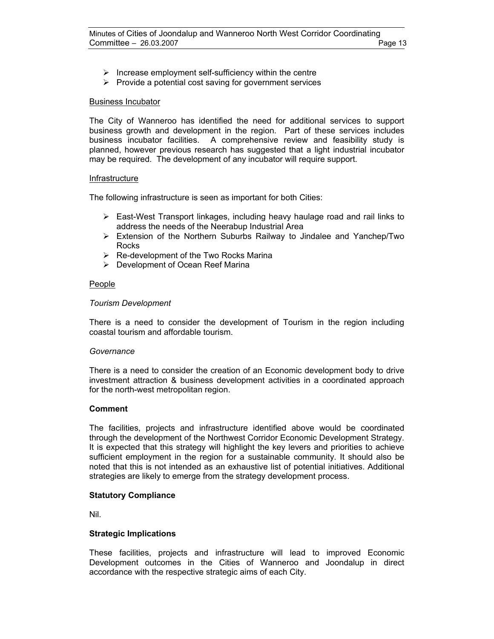- $\triangleright$  Increase employment self-sufficiency within the centre
- $\triangleright$  Provide a potential cost saving for government services

# Business Incubator

The City of Wanneroo has identified the need for additional services to support business growth and development in the region. Part of these services includes business incubator facilities. A comprehensive review and feasibility study is planned, however previous research has suggested that a light industrial incubator may be required. The development of any incubator will require support.

# Infrastructure

The following infrastructure is seen as important for both Cities:

- $\triangleright$  East-West Transport linkages, including heavy haulage road and rail links to address the needs of the Neerabup Industrial Area
- ¾ Extension of the Northern Suburbs Railway to Jindalee and Yanchep/Two Rocks
- $\triangleright$  Re-development of the Two Rocks Marina
- ¾ Development of Ocean Reef Marina

# People

# *Tourism Development*

There is a need to consider the development of Tourism in the region including coastal tourism and affordable tourism.

# *Governance*

There is a need to consider the creation of an Economic development body to drive investment attraction & business development activities in a coordinated approach for the north-west metropolitan region.

# **Comment**

The facilities, projects and infrastructure identified above would be coordinated through the development of the Northwest Corridor Economic Development Strategy. It is expected that this strategy will highlight the key levers and priorities to achieve sufficient employment in the region for a sustainable community. It should also be noted that this is not intended as an exhaustive list of potential initiatives. Additional strategies are likely to emerge from the strategy development process.

# **Statutory Compliance**

Nil.

# **Strategic Implications**

These facilities, projects and infrastructure will lead to improved Economic Development outcomes in the Cities of Wanneroo and Joondalup in direct accordance with the respective strategic aims of each City.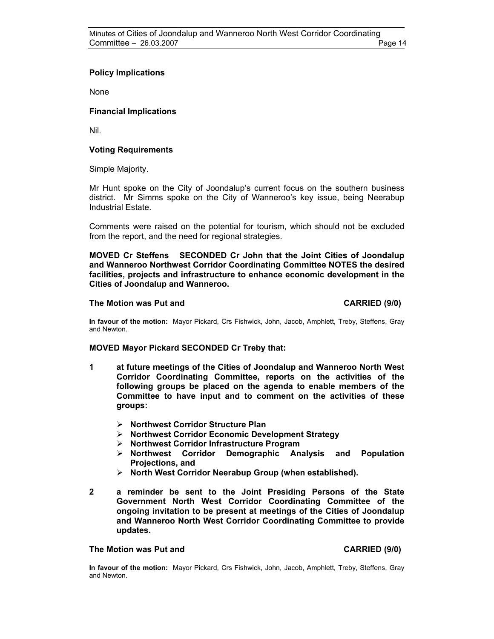# **Policy Implications**

None

# **Financial Implications**

Nil.

# **Voting Requirements**

Simple Majority.

Mr Hunt spoke on the City of Joondalup's current focus on the southern business district. Mr Simms spoke on the City of Wanneroo's key issue, being Neerabup Industrial Estate.

Comments were raised on the potential for tourism, which should not be excluded from the report, and the need for regional strategies.

**MOVED Cr Steffens SECONDED Cr John that the Joint Cities of Joondalup and Wanneroo Northwest Corridor Coordinating Committee NOTES the desired facilities, projects and infrastructure to enhance economic development in the Cities of Joondalup and Wanneroo.** 

# **The Motion was Put and CARRIED (9/0) CARRIED (9/0)**

**In favour of the motion:** Mayor Pickard, Crs Fishwick, John, Jacob, Amphlett, Treby, Steffens, Gray and Newton.

# **MOVED Mayor Pickard SECONDED Cr Treby that:**

- **1 at future meetings of the Cities of Joondalup and Wanneroo North West Corridor Coordinating Committee, reports on the activities of the following groups be placed on the agenda to enable members of the Committee to have input and to comment on the activities of these groups:** 
	- ¾ **Northwest Corridor Structure Plan**
	- ¾ **Northwest Corridor Economic Development Strategy**
	- ¾ **Northwest Corridor Infrastructure Program**
	- ¾ **Northwest Corridor Demographic Analysis and Population Projections, and**
	- ¾ **North West Corridor Neerabup Group (when established).**
- **2 a reminder be sent to the Joint Presiding Persons of the State Government North West Corridor Coordinating Committee of the ongoing invitation to be present at meetings of the Cities of Joondalup and Wanneroo North West Corridor Coordinating Committee to provide updates.**

# **The Motion was Put and CARRIED (9/0) CARRIED (9/0)**

**In favour of the motion:** Mayor Pickard, Crs Fishwick, John, Jacob, Amphlett, Treby, Steffens, Gray and Newton.